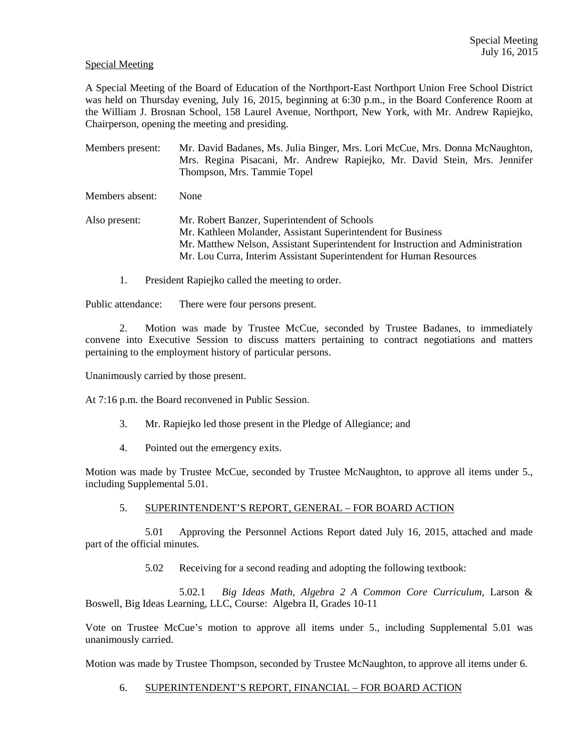#### Special Meeting

A Special Meeting of the Board of Education of the Northport-East Northport Union Free School District was held on Thursday evening, July 16, 2015, beginning at 6:30 p.m., in the Board Conference Room at the William J. Brosnan School, 158 Laurel Avenue, Northport, New York, with Mr. Andrew Rapiejko, Chairperson, opening the meeting and presiding.

Members present: Mr. David Badanes, Ms. Julia Binger, Mrs. Lori McCue, Mrs. Donna McNaughton, Mrs. Regina Pisacani, Mr. Andrew Rapiejko, Mr. David Stein, Mrs. Jennifer Thompson, Mrs. Tammie Topel

Members absent: None

Also present: Mr. Robert Banzer, Superintendent of Schools Mr. Kathleen Molander, Assistant Superintendent for Business Mr. Matthew Nelson, Assistant Superintendent for Instruction and Administration Mr. Lou Curra, Interim Assistant Superintendent for Human Resources

1. President Rapiejko called the meeting to order.

Public attendance: There were four persons present.

2. Motion was made by Trustee McCue, seconded by Trustee Badanes, to immediately convene into Executive Session to discuss matters pertaining to contract negotiations and matters pertaining to the employment history of particular persons.

Unanimously carried by those present.

At 7:16 p.m. the Board reconvened in Public Session.

- 3. Mr. Rapiejko led those present in the Pledge of Allegiance; and
- 4. Pointed out the emergency exits.

Motion was made by Trustee McCue, seconded by Trustee McNaughton, to approve all items under 5., including Supplemental 5.01.

## 5. SUPERINTENDENT'S REPORT, GENERAL – FOR BOARD ACTION

 5.01 Approving the Personnel Actions Report dated July 16, 2015, attached and made part of the official minutes.

5.02 Receiving for a second reading and adopting the following textbook:

 5.02.1 *Big Ideas Math, Algebra 2 A Common Core Curriculum,* Larson & Boswell, Big Ideas Learning, LLC, Course: Algebra II, Grades 10-11

Vote on Trustee McCue's motion to approve all items under 5., including Supplemental 5.01 was unanimously carried.

Motion was made by Trustee Thompson, seconded by Trustee McNaughton, to approve all items under 6.

6. SUPERINTENDENT'S REPORT, FINANCIAL – FOR BOARD ACTION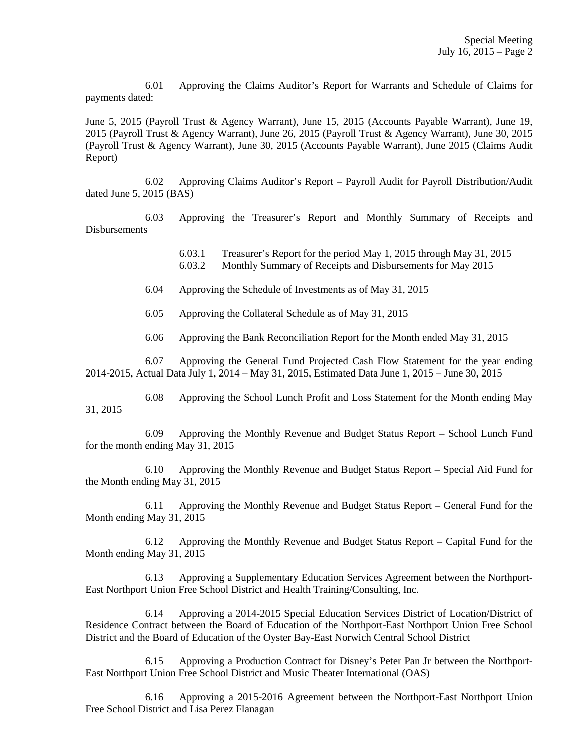6.01 Approving the Claims Auditor's Report for Warrants and Schedule of Claims for payments dated:

June 5, 2015 (Payroll Trust & Agency Warrant), June 15, 2015 (Accounts Payable Warrant), June 19, 2015 (Payroll Trust & Agency Warrant), June 26, 2015 (Payroll Trust & Agency Warrant), June 30, 2015 (Payroll Trust & Agency Warrant), June 30, 2015 (Accounts Payable Warrant), June 2015 (Claims Audit Report)

 6.02 Approving Claims Auditor's Report – Payroll Audit for Payroll Distribution/Audit dated June 5, 2015 (BAS)

 6.03 Approving the Treasurer's Report and Monthly Summary of Receipts and Disbursements

> 6.03.1 Treasurer's Report for the period May 1, 2015 through May 31, 2015 6.03.2 Monthly Summary of Receipts and Disbursements for May 2015

6.04 Approving the Schedule of Investments as of May 31, 2015

6.05 Approving the Collateral Schedule as of May 31, 2015

6.06 Approving the Bank Reconciliation Report for the Month ended May 31, 2015

 6.07 Approving the General Fund Projected Cash Flow Statement for the year ending 2014-2015, Actual Data July 1, 2014 – May 31, 2015, Estimated Data June 1, 2015 – June 30, 2015

 6.08 Approving the School Lunch Profit and Loss Statement for the Month ending May 31, 2015

 6.09 Approving the Monthly Revenue and Budget Status Report – School Lunch Fund for the month ending May 31, 2015

 6.10 Approving the Monthly Revenue and Budget Status Report – Special Aid Fund for the Month ending May 31, 2015

 6.11 Approving the Monthly Revenue and Budget Status Report – General Fund for the Month ending May 31, 2015

 6.12 Approving the Monthly Revenue and Budget Status Report – Capital Fund for the Month ending May 31, 2015

 6.13 Approving a Supplementary Education Services Agreement between the Northport-East Northport Union Free School District and Health Training/Consulting, Inc.

 6.14 Approving a 2014-2015 Special Education Services District of Location/District of Residence Contract between the Board of Education of the Northport-East Northport Union Free School District and the Board of Education of the Oyster Bay-East Norwich Central School District

 6.15 Approving a Production Contract for Disney's Peter Pan Jr between the Northport-East Northport Union Free School District and Music Theater International (OAS)

 6.16 Approving a 2015-2016 Agreement between the Northport-East Northport Union Free School District and Lisa Perez Flanagan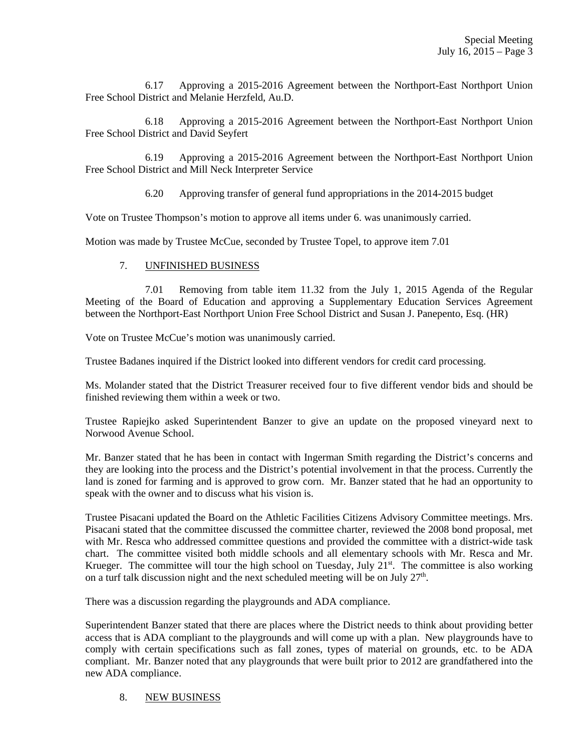6.17 Approving a 2015-2016 Agreement between the Northport-East Northport Union Free School District and Melanie Herzfeld, Au.D.

 6.18 Approving a 2015-2016 Agreement between the Northport-East Northport Union Free School District and David Seyfert

 6.19 Approving a 2015-2016 Agreement between the Northport-East Northport Union Free School District and Mill Neck Interpreter Service

6.20 Approving transfer of general fund appropriations in the 2014-2015 budget

Vote on Trustee Thompson's motion to approve all items under 6. was unanimously carried.

Motion was made by Trustee McCue, seconded by Trustee Topel, to approve item 7.01

## 7. UNFINISHED BUSINESS

 7.01 Removing from table item 11.32 from the July 1, 2015 Agenda of the Regular Meeting of the Board of Education and approving a Supplementary Education Services Agreement between the Northport-East Northport Union Free School District and Susan J. Panepento, Esq. (HR)

Vote on Trustee McCue's motion was unanimously carried.

Trustee Badanes inquired if the District looked into different vendors for credit card processing.

Ms. Molander stated that the District Treasurer received four to five different vendor bids and should be finished reviewing them within a week or two.

Trustee Rapiejko asked Superintendent Banzer to give an update on the proposed vineyard next to Norwood Avenue School.

Mr. Banzer stated that he has been in contact with Ingerman Smith regarding the District's concerns and they are looking into the process and the District's potential involvement in that the process. Currently the land is zoned for farming and is approved to grow corn. Mr. Banzer stated that he had an opportunity to speak with the owner and to discuss what his vision is.

Trustee Pisacani updated the Board on the Athletic Facilities Citizens Advisory Committee meetings. Mrs. Pisacani stated that the committee discussed the committee charter, reviewed the 2008 bond proposal, met with Mr. Resca who addressed committee questions and provided the committee with a district-wide task chart. The committee visited both middle schools and all elementary schools with Mr. Resca and Mr. Krueger. The committee will tour the high school on Tuesday, July  $21^{st}$ . The committee is also working on a turf talk discussion night and the next scheduled meeting will be on July  $27<sup>th</sup>$ .

There was a discussion regarding the playgrounds and ADA compliance.

Superintendent Banzer stated that there are places where the District needs to think about providing better access that is ADA compliant to the playgrounds and will come up with a plan. New playgrounds have to comply with certain specifications such as fall zones, types of material on grounds, etc. to be ADA compliant. Mr. Banzer noted that any playgrounds that were built prior to 2012 are grandfathered into the new ADA compliance.

# 8. NEW BUSINESS